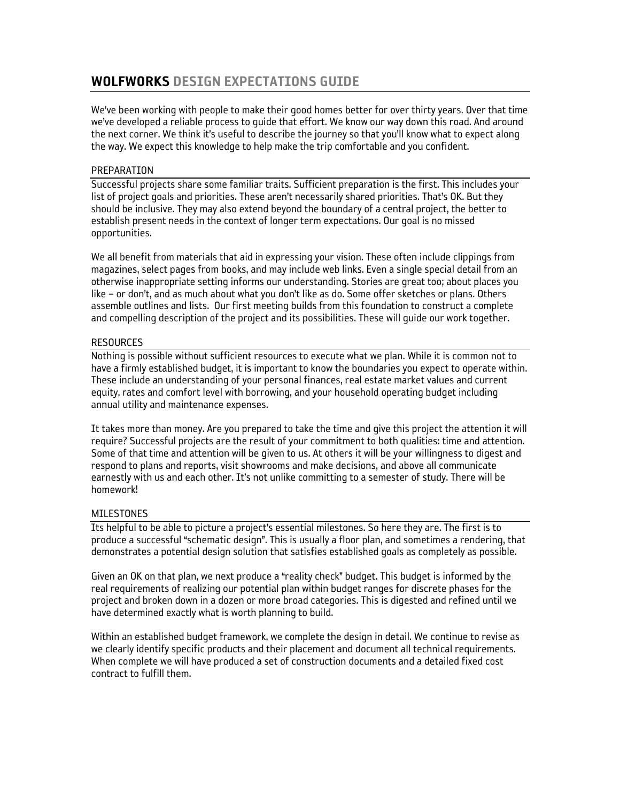# WOLFWORKS DESIGN EXPECTATIONS GUIDE

We've been working with people to make their good homes better for over thirty years. Over that time we've developed a reliable process to guide that effort. We know our way down this road. And around the next corner. We think it's useful to describe the journey so that you'll know what to expect along the way. We expect this knowledge to help make the trip comfortable and you confident.

### PREPARATION

Successful projects share some familiar traits. Sufficient preparation is the first. This includes your list of project goals and priorities. These aren't necessarily shared priorities. That's OK. But they should be inclusive. They may also extend beyond the boundary of a central project, the better to establish present needs in the context of longer term expectations. Our goal is no missed opportunities.

We all benefit from materials that aid in expressing your vision. These often include clippings from magazines, select pages from books, and may include web links. Even a single special detail from an otherwise inappropriate setting informs our understanding. Stories are great too; about places you like – or don't, and as much about what you don't like as do. Some offer sketches or plans. Others assemble outlines and lists. Our first meeting builds from this foundation to construct a complete and compelling description of the project and its possibilities. These will guide our work together.

### **RESOURCES**

Nothing is possible without sufficient resources to execute what we plan. While it is common not to have a firmly established budget, it is important to know the boundaries you expect to operate within. These include an understanding of your personal finances, real estate market values and current equity, rates and comfort level with borrowing, and your household operating budget including annual utility and maintenance expenses.

It takes more than money. Are you prepared to take the time and give this project the attention it will require? Successful projects are the result of your commitment to both qualities: time and attention. Some of that time and attention will be given to us. At others it will be your willingness to digest and respond to plans and reports, visit showrooms and make decisions, and above all communicate earnestly with us and each other. It's not unlike committing to a semester of study. There will be homework!

### MILESTONES

Its helpful to be able to picture a project's essential milestones. So here they are. The first is to produce a successful "schematic design". This is usually a floor plan, and sometimes a rendering, that demonstrates a potential design solution that satisfies established goals as completely as possible.

Given an OK on that plan, we next produce a "reality check" budget. This budget is informed by the real requirements of realizing our potential plan within budget ranges for discrete phases for the project and broken down in a dozen or more broad categories. This is digested and refined until we have determined exactly what is worth planning to build.

Within an established budget framework, we complete the design in detail. We continue to revise as we clearly identify specific products and their placement and document all technical requirements. When complete we will have produced a set of construction documents and a detailed fixed cost contract to fulfill them.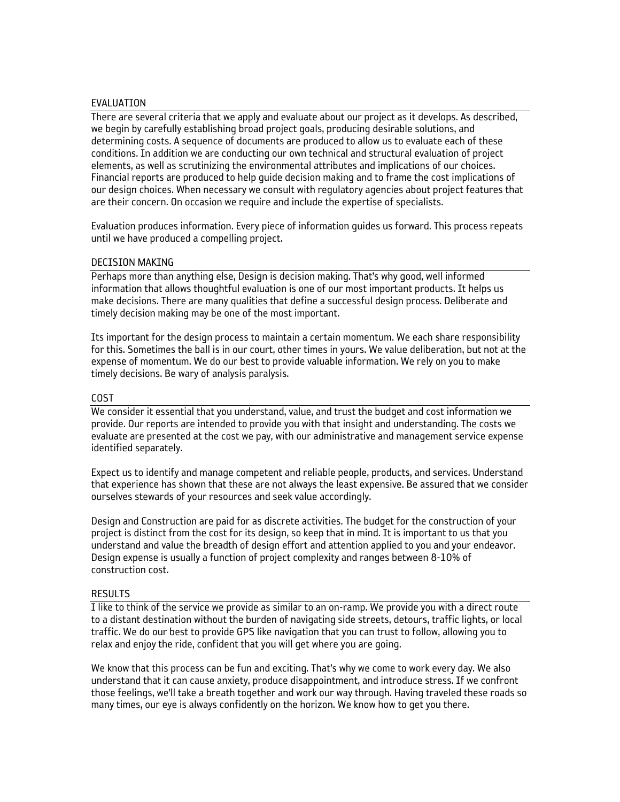### EVALUATION

There are several criteria that we apply and evaluate about our project as it develops. As described, we begin by carefully establishing broad project goals, producing desirable solutions, and determining costs. A sequence of documents are produced to allow us to evaluate each of these conditions. In addition we are conducting our own technical and structural evaluation of project elements, as well as scrutinizing the environmental attributes and implications of our choices. Financial reports are produced to help guide decision making and to frame the cost implications of our design choices. When necessary we consult with regulatory agencies about project features that are their concern. On occasion we require and include the expertise of specialists.

Evaluation produces information. Every piece of information guides us forward. This process repeats until we have produced a compelling project.

#### DECISION MAKING

Perhaps more than anything else, Design is decision making. That's why good, well informed information that allows thoughtful evaluation is one of our most important products. It helps us make decisions. There are many qualities that define a successful design process. Deliberate and timely decision making may be one of the most important.

Its important for the design process to maintain a certain momentum. We each share responsibility for this. Sometimes the ball is in our court, other times in yours. We value deliberation, but not at the expense of momentum. We do our best to provide valuable information. We rely on you to make timely decisions. Be wary of analysis paralysis.

### COST

We consider it essential that you understand, value, and trust the budget and cost information we provide. Our reports are intended to provide you with that insight and understanding. The costs we evaluate are presented at the cost we pay, with our administrative and management service expense identified separately.

Expect us to identify and manage competent and reliable people, products, and services. Understand that experience has shown that these are not always the least expensive. Be assured that we consider ourselves stewards of your resources and seek value accordingly.

Design and Construction are paid for as discrete activities. The budget for the construction of your project is distinct from the cost for its design, so keep that in mind. It is important to us that you understand and value the breadth of design effort and attention applied to you and your endeavor. Design expense is usually a function of project complexity and ranges between 8-10% of construction cost.

#### RESULTS

I like to think of the service we provide as similar to an on-ramp. We provide you with a direct route to a distant destination without the burden of navigating side streets, detours, traffic lights, or local traffic. We do our best to provide GPS like navigation that you can trust to follow, allowing you to relax and enjoy the ride, confident that you will get where you are going.

We know that this process can be fun and exciting. That's why we come to work every day. We also understand that it can cause anxiety, produce disappointment, and introduce stress. If we confront those feelings, we'll take a breath together and work our way through. Having traveled these roads so many times, our eye is always confidently on the horizon. We know how to get you there.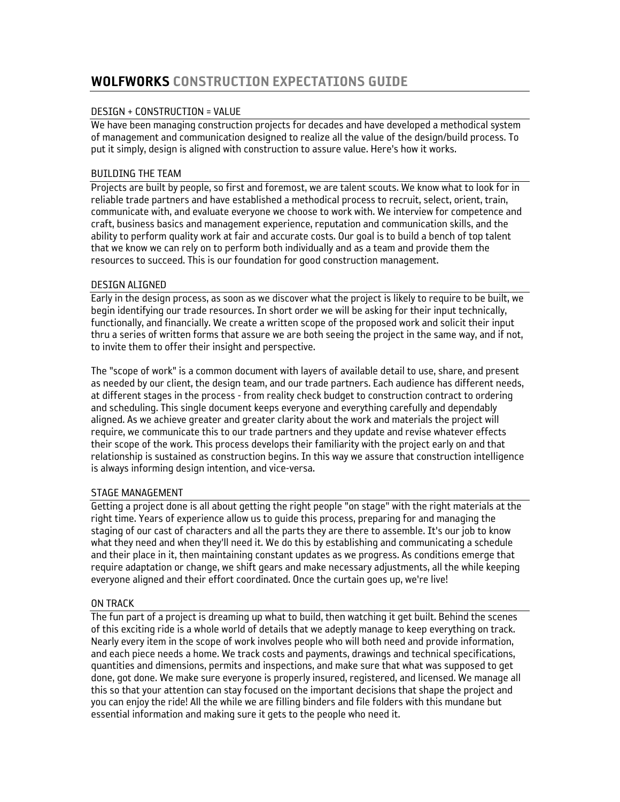# DESIGN + CONSTRUCTION = VALUE

We have been managing construction projects for decades and have developed a methodical system of management and communication designed to realize all the value of the design/build process. To put it simply, design is aligned with construction to assure value. Here's how it works.

## BUILDING THE TEAM

Projects are built by people, so first and foremost, we are talent scouts. We know what to look for in reliable trade partners and have established a methodical process to recruit, select, orient, train, communicate with, and evaluate everyone we choose to work with. We interview for competence and craft, business basics and management experience, reputation and communication skills, and the ability to perform quality work at fair and accurate costs. Our goal is to build a bench of top talent that we know we can rely on to perform both individually and as a team and provide them the resources to succeed. This is our foundation for good construction management.

# DESIGN ALIGNED

Early in the design process, as soon as we discover what the project is likely to require to be built, we begin identifying our trade resources. In short order we will be asking for their input technically, functionally, and financially. We create a written scope of the proposed work and solicit their input thru a series of written forms that assure we are both seeing the project in the same way, and if not, to invite them to offer their insight and perspective.

The "scope of work" is a common document with layers of available detail to use, share, and present as needed by our client, the design team, and our trade partners. Each audience has different needs, at different stages in the process - from reality check budget to construction contract to ordering and scheduling. This single document keeps everyone and everything carefully and dependably aligned. As we achieve greater and greater clarity about the work and materials the project will require, we communicate this to our trade partners and they update and revise whatever effects their scope of the work. This process develops their familiarity with the project early on and that relationship is sustained as construction begins. In this way we assure that construction intelligence is always informing design intention, and vice-versa.

# STAGE MANAGEMENT

Getting a project done is all about getting the right people "on stage" with the right materials at the right time. Years of experience allow us to guide this process, preparing for and managing the staging of our cast of characters and all the parts they are there to assemble. It's our job to know what they need and when they'll need it. We do this by establishing and communicating a schedule and their place in it, then maintaining constant updates as we progress. As conditions emerge that require adaptation or change, we shift gears and make necessary adjustments, all the while keeping everyone aligned and their effort coordinated. Once the curtain goes up, we're live!

### ON TRACK

The fun part of a project is dreaming up what to build, then watching it get built. Behind the scenes of this exciting ride is a whole world of details that we adeptly manage to keep everything on track. Nearly every item in the scope of work involves people who will both need and provide information, and each piece needs a home. We track costs and payments, drawings and technical specifications, quantities and dimensions, permits and inspections, and make sure that what was supposed to get done, got done. We make sure everyone is properly insured, registered, and licensed. We manage all this so that your attention can stay focused on the important decisions that shape the project and you can enjoy the ride! All the while we are filling binders and file folders with this mundane but essential information and making sure it gets to the people who need it.